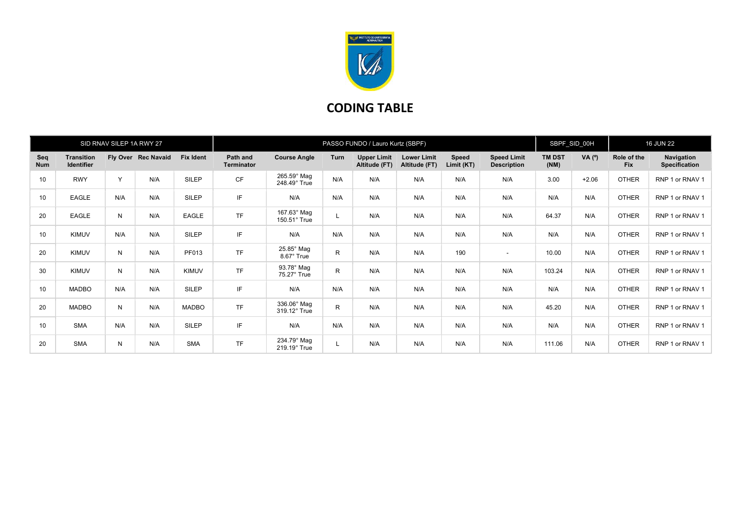

## CODING TABLE

| SID RNAV SILEP 1A RWY 27 |                                        |     |                     | PASSO FUNDO / Lauro Kurtz (SBPF) |                               |                                    |              |                                     |                                     | SBPF_SID_00H        |                                          | <b>16 JUN 22</b>      |          |                           |                                    |
|--------------------------|----------------------------------------|-----|---------------------|----------------------------------|-------------------------------|------------------------------------|--------------|-------------------------------------|-------------------------------------|---------------------|------------------------------------------|-----------------------|----------|---------------------------|------------------------------------|
| Seq<br><b>Num</b>        | <b>Transition</b><br><b>Identifier</b> |     | Fly Over Rec Navaid | <b>Fix Ident</b>                 | Path and<br><b>Terminator</b> | <b>Course Angle</b>                | <b>Turn</b>  | <b>Upper Limit</b><br>Altitude (FT) | <b>Lower Limit</b><br>Altitude (FT) | Speed<br>Limit (KT) | <b>Speed Limit</b><br><b>Description</b> | <b>TM DST</b><br>(NM) | VA $(°)$ | Role of the<br><b>Fix</b> | Navigation<br><b>Specification</b> |
| 10                       | <b>RWY</b>                             | Y   | N/A                 | SILEP                            | CF                            | 265.59° Mag<br>248.49° True        | N/A          | N/A                                 | N/A                                 | N/A                 | N/A                                      | 3.00                  | $+2.06$  | <b>OTHER</b>              | RNP 1 or RNAV 1                    |
| 10                       | <b>EAGLE</b>                           | N/A | N/A                 | SILEP                            | IF                            | N/A                                | N/A          | N/A                                 | N/A                                 | N/A                 | N/A                                      | N/A                   | N/A      | <b>OTHER</b>              | RNP 1 or RNAV 1                    |
| 20                       | <b>EAGLE</b>                           | N   | N/A                 | EAGLE                            | <b>TF</b>                     | 167.63° Mag<br>$150.51^\circ$ True |              | N/A                                 | N/A                                 | N/A                 | N/A                                      | 64.37                 | N/A      | <b>OTHER</b>              | RNP 1 or RNAV 1                    |
| 10                       | <b>KIMUV</b>                           | N/A | N/A                 | SILEP                            | IF                            | N/A                                | N/A          | N/A                                 | N/A                                 | N/A                 | N/A                                      | N/A                   | N/A      | <b>OTHER</b>              | RNP 1 or RNAV 1                    |
| 20                       | <b>KIMUV</b>                           | N   | N/A                 | PF013                            | TF                            | $25.85^\circ$ Mag<br>8.67° True    | R            | N/A                                 | N/A                                 | 190                 | $\sim$                                   | 10.00                 | N/A      | <b>OTHER</b>              | RNP 1 or RNAV 1                    |
| 30                       | <b>KIMUV</b>                           | N   | N/A                 | <b>KIMUV</b>                     | <b>TF</b>                     | 93.78° Mag<br>75.27° True          | $\mathsf{R}$ | N/A                                 | N/A                                 | N/A                 | N/A                                      | 103.24                | N/A      | <b>OTHER</b>              | RNP 1 or RNAV 1                    |
| 10                       | <b>MADBO</b>                           | N/A | N/A                 | SILEP                            | IF                            | N/A                                | N/A          | N/A                                 | N/A                                 | N/A                 | N/A                                      | N/A                   | N/A      | <b>OTHER</b>              | RNP 1 or RNAV 1                    |
| 20                       | <b>MADBO</b>                           | N   | N/A                 | <b>MADBO</b>                     | <b>TF</b>                     | 336.06° Mag<br>319.12° True        | $\mathsf{R}$ | N/A                                 | N/A                                 | N/A                 | N/A                                      | 45.20                 | N/A      | <b>OTHER</b>              | RNP 1 or RNAV 1                    |
| 10                       | <b>SMA</b>                             | N/A | N/A                 | SILEP                            | IF.                           | N/A                                | N/A          | N/A                                 | N/A                                 | N/A                 | N/A                                      | N/A                   | N/A      | <b>OTHER</b>              | RNP 1 or RNAV 1                    |
| 20                       | <b>SMA</b>                             | N   | N/A                 | <b>SMA</b>                       | TF                            | 234.79° Mag<br>219.19° True        |              | N/A                                 | N/A                                 | N/A                 | N/A                                      | 111.06                | N/A      | <b>OTHER</b>              | RNP 1 or RNAV 1                    |